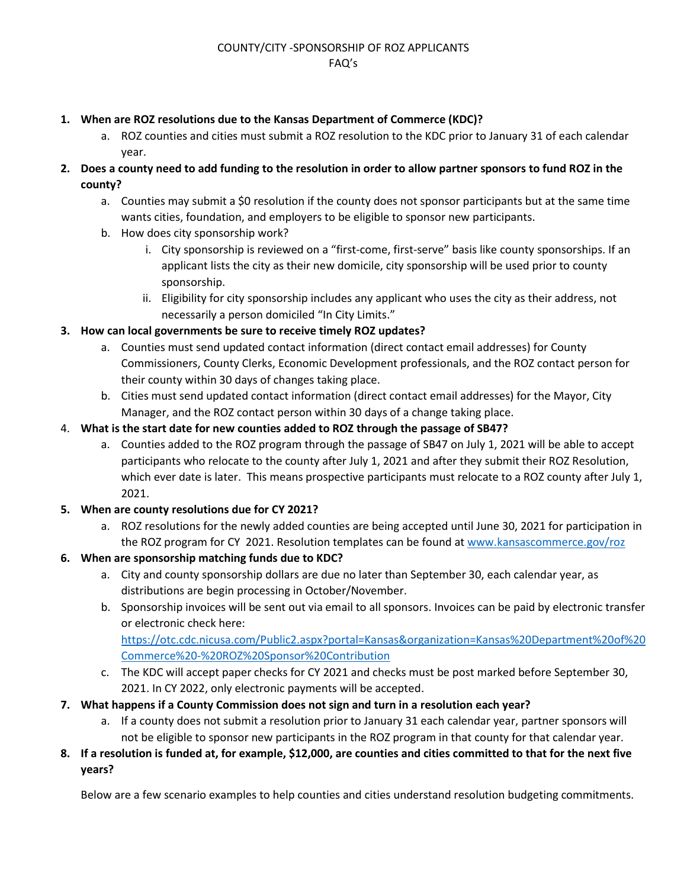## **1. When are ROZ resolutions due to the Kansas Department of Commerce (KDC)?**

- a. ROZ counties and cities must submit a ROZ resolution to the KDC prior to January 31 of each calendar year.
- **2. Does a county need to add funding to the resolution in order to allow partner sponsors to fund ROZ in the county?**
	- a. Counties may submit a \$0 resolution if the county does not sponsor participants but at the same time wants cities, foundation, and employers to be eligible to sponsor new participants.
	- b. How does city sponsorship work?
		- i. City sponsorship is reviewed on a "first-come, first-serve" basis like county sponsorships. If an applicant lists the city as their new domicile, city sponsorship will be used prior to county sponsorship.
		- ii. Eligibility for city sponsorship includes any applicant who uses the city as their address, not necessarily a person domiciled "In City Limits."

# **3. How can local governments be sure to receive timely ROZ updates?**

- a. Counties must send updated contact information (direct contact email addresses) for County Commissioners, County Clerks, Economic Development professionals, and the ROZ contact person for their county within 30 days of changes taking place.
- b. Cities must send updated contact information (direct contact email addresses) for the Mayor, City Manager, and the ROZ contact person within 30 days of a change taking place.
- 4. **What is the start date for new counties added to ROZ through the passage of SB47?**
	- a. Counties added to the ROZ program through the passage of SB47 on July 1, 2021 will be able to accept participants who relocate to the county after July 1, 2021 and after they submit their ROZ Resolution, which ever date is later. This means prospective participants must relocate to a ROZ county after July 1, 2021.

## **5. When are county resolutions due for CY 2021?**

- a. ROZ resolutions for the newly added counties are being accepted until June 30, 2021 for participation in the ROZ program for CY 2021. Resolution templates can be found a[t www.kansascommerce.gov/roz](http://www.kansascommerce.gov/roz)
- **6. When are sponsorship matching funds due to KDC?**
	- a. City and county sponsorship dollars are due no later than September 30, each calendar year, as distributions are begin processing in October/November.
	- b. Sponsorship invoices will be sent out via email to all sponsors. Invoices can be paid by electronic transfer or electronic check here: [https://otc.cdc.nicusa.com/Public2.aspx?portal=Kansas&organization=Kansas%20Department%20of%20](https://otc.cdc.nicusa.com/Public2.aspx?portal=Kansas&organization=Kansas%20Department%20of%20Commerce%20-%20ROZ%20Sponsor%20Contribution) [Commerce%20-%20ROZ%20Sponsor%20Contribution](https://otc.cdc.nicusa.com/Public2.aspx?portal=Kansas&organization=Kansas%20Department%20of%20Commerce%20-%20ROZ%20Sponsor%20Contribution)
	- c. The KDC will accept paper checks for CY 2021 and checks must be post marked before September 30, 2021. In CY 2022, only electronic payments will be accepted.
- **7. What happens if a County Commission does not sign and turn in a resolution each year?**
	- a. If a county does not submit a resolution prior to January 31 each calendar year, partner sponsors will not be eligible to sponsor new participants in the ROZ program in that county for that calendar year.
- **8. If a resolution is funded at, for example, \$12,000, are counties and cities committed to that for the next five years?**

Below are a few scenario examples to help counties and cities understand resolution budgeting commitments.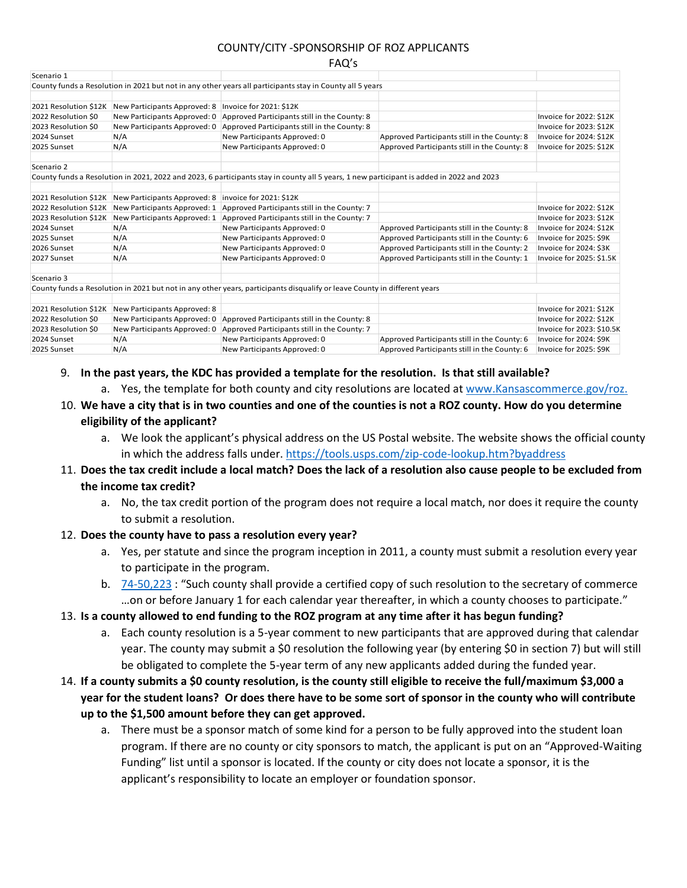## COUNTY/CITY -SPONSORSHIP OF ROZ APPLICANTS

|                       |                              | i Aus                                                                                                                                    |                                              |                           |
|-----------------------|------------------------------|------------------------------------------------------------------------------------------------------------------------------------------|----------------------------------------------|---------------------------|
| Scenario 1            |                              |                                                                                                                                          |                                              |                           |
|                       |                              | County funds a Resolution in 2021 but not in any other years all participants stay in County all 5 years                                 |                                              |                           |
|                       |                              |                                                                                                                                          |                                              |                           |
| 2021 Resolution \$12K | New Participants Approved: 8 | Invoice for 2021: \$12K                                                                                                                  |                                              |                           |
| 2022 Resolution \$0   | New Participants Approved: 0 | Approved Participants still in the County: 8                                                                                             |                                              | Invoice for 2022: \$12K   |
| 2023 Resolution \$0   | New Participants Approved: 0 | Approved Participants still in the County: 8                                                                                             |                                              | Invoice for 2023: \$12K   |
| 2024 Sunset           | N/A                          | New Participants Approved: 0                                                                                                             | Approved Participants still in the County: 8 | Invoice for 2024: \$12K   |
| 2025 Sunset           | N/A                          | New Participants Approved: 0                                                                                                             | Approved Participants still in the County: 8 | Invoice for 2025: \$12K   |
| Scenario 2            |                              |                                                                                                                                          |                                              |                           |
|                       |                              | County funds a Resolution in 2021, 2022 and 2023, 6 participants stay in county all 5 years, 1 new participant is added in 2022 and 2023 |                                              |                           |
| 2021 Resolution \$12K | New Participants Approved: 8 | invoice for 2021: \$12K                                                                                                                  |                                              |                           |
| 2022 Resolution \$12K | New Participants Approved: 1 | Approved Participants still in the County: 7                                                                                             |                                              | Invoice for 2022: \$12K   |
| 2023 Resolution \$12K | New Participants Approved: 1 | Approved Participants still in the County: 7                                                                                             |                                              | Invoice for 2023: \$12K   |
| 2024 Sunset           | N/A                          | New Participants Approved: 0                                                                                                             | Approved Participants still in the County: 8 | Invoice for 2024: \$12K   |
| 2025 Sunset           | N/A                          | New Participants Approved: 0                                                                                                             | Approved Participants still in the County: 6 | Invoice for 2025: \$9K    |
| 2026 Sunset           | N/A                          | New Participants Approved: 0                                                                                                             | Approved Participants still in the County: 2 | Invoice for 2024: \$3K    |
| 2027 Sunset           | N/A                          | New Participants Approved: 0                                                                                                             | Approved Participants still in the County: 1 | Invoice for 2025: \$1.5K  |
| Scenario 3            |                              |                                                                                                                                          |                                              |                           |
|                       |                              | County funds a Resolution in 2021 but not in any other years, participants disqualify or leave County in different years                 |                                              |                           |
| 2021 Resolution \$12K | New Participants Approved: 8 |                                                                                                                                          |                                              | Invoice for 2021: \$12K   |
| 2022 Resolution \$0   | New Participants Approved: 0 | Approved Participants still in the County: 8                                                                                             |                                              | Invoice for 2022: \$12K   |
| 2023 Resolution \$0   | New Participants Approved: 0 | Approved Participants still in the County: 7                                                                                             |                                              | Invoice for 2023: \$10.5K |
| 2024 Sunset           | N/A                          | New Participants Approved: 0                                                                                                             | Approved Participants still in the County: 6 | Invoice for 2024: \$9K    |
| 2025 Sunset           | N/A                          | New Participants Approved: 0                                                                                                             | Approved Participants still in the County: 6 | Invoice for 2025: \$9K    |

### 9. **In the past years, the KDC has provided a template for the resolution. Is that still available?**

- a. Yes, the template for both county and city resolutions are located at [www.Kansascommerce.gov/roz.](http://www.kansascommerce.gov/roz)
- 10. **We have a city that is in two counties and one of the counties is not a ROZ county. How do you determine eligibility of the applicant?**
	- a. We look the applicant's physical address on the US Postal website. The website shows the official county in which the address falls under.<https://tools.usps.com/zip-code-lookup.htm?byaddress>
- 11. **Does the tax credit include a local match? Does the lack of a resolution also cause people to be excluded from the income tax credit?** 
	- a. No, the tax credit portion of the program does not require a local match, nor does it require the county to submit a resolution.

## 12. **Does the county have to pass a resolution every year?**

- a. Yes, per statute and since the program inception in 2011, a county must submit a resolution every year to participate in the program.
- b. [74-50,223](http://www.kslegislature.org/li/b2021_22/statute/074_000_0000_chapter/074_050_0000_article/074_050_0223_section/074_050_0223_k/) : "Such county shall provide a certified copy of such resolution to the secretary of commerce …on or before January 1 for each calendar year thereafter, in which a county chooses to participate."
- 13. **Is a county allowed to end funding to the ROZ program at any time after it has begun funding?**
	- a. Each county resolution is a 5-year comment to new participants that are approved during that calendar year. The county may submit a \$0 resolution the following year (by entering \$0 in section 7) but will still be obligated to complete the 5-year term of any new applicants added during the funded year.
- 14. **If a county submits a \$0 county resolution, is the county still eligible to receive the full/maximum \$3,000 a year for the student loans? Or does there have to be some sort of sponsor in the county who will contribute up to the \$1,500 amount before they can get approved.**
	- a. There must be a sponsor match of some kind for a person to be fully approved into the student loan program. If there are no county or city sponsors to match, the applicant is put on an "Approved-Waiting Funding" list until a sponsor is located. If the county or city does not locate a sponsor, it is the applicant's responsibility to locate an employer or foundation sponsor.

#### $F A O$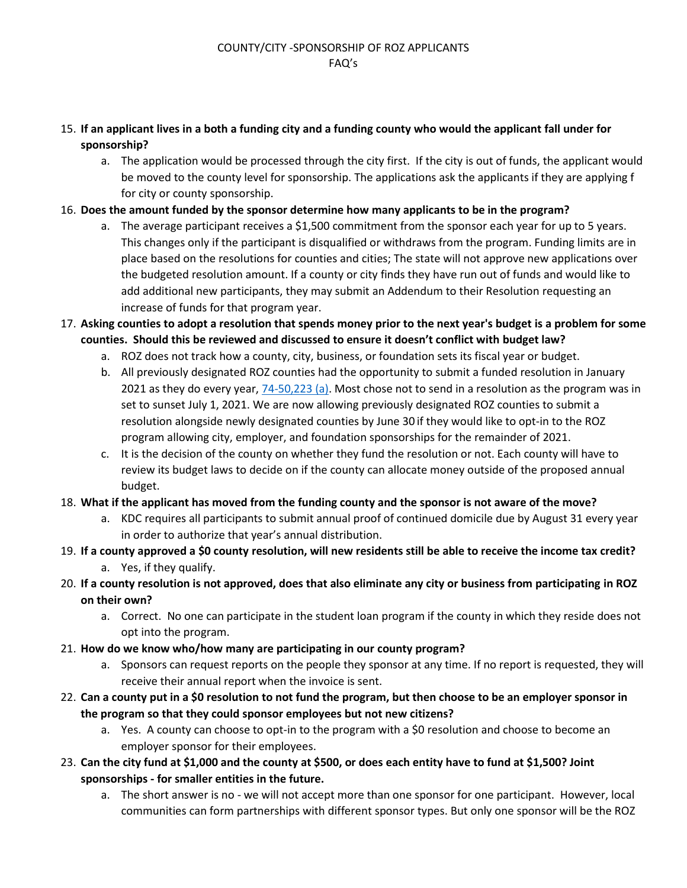- 15. **If an applicant lives in a both a funding city and a funding county who would the applicant fall under for sponsorship?**
	- a. The application would be processed through the city first. If the city is out of funds, the applicant would be moved to the county level for sponsorship. The applications ask the applicants if they are applying f for city or county sponsorship.
- 16. **Does the amount funded by the sponsor determine how many applicants to be in the program?**
	- a. The average participant receives a \$1,500 commitment from the sponsor each year for up to 5 years. This changes only if the participant is disqualified or withdraws from the program. Funding limits are in place based on the resolutions for counties and cities; The state will not approve new applications over the budgeted resolution amount. If a county or city finds they have run out of funds and would like to add additional new participants, they may submit an Addendum to their Resolution requesting an increase of funds for that program year.
- 17. **Asking counties to adopt a resolution that spends money prior to the next year's budget is a problem for some counties. Should this be reviewed and discussed to ensure it doesn't conflict with budget law?**
	- a. ROZ does not track how a county, city, business, or foundation sets its fiscal year or budget.
	- b. All previously designated ROZ counties had the opportunity to submit a funded resolution in January 2021 as they do every year, [74-50,223 \(a\).](http://www.kslegislature.org/li/b2021_22/statute/074_000_0000_chapter/074_050_0000_article/074_050_0223_section/074_050_0223_k/) Most chose not to send in a resolution as the program was in set to sunset July 1, 2021. We are now allowing previously designated ROZ counties to submit a resolution alongside newly designated counties by June 30 if they would like to opt-in to the ROZ program allowing city, employer, and foundation sponsorships for the remainder of 2021.
	- c. It is the decision of the county on whether they fund the resolution or not. Each county will have to review its budget laws to decide on if the county can allocate money outside of the proposed annual budget.
- 18. **What if the applicant has moved from the funding county and the sponsor is not aware of the move?**
	- a. KDC requires all participants to submit annual proof of continued domicile due by August 31 every year in order to authorize that year's annual distribution.
- 19. **If a county approved a \$0 county resolution, will new residents still be able to receive the income tax credit?** a. Yes, if they qualify.
- 20. **If a county resolution is not approved, does that also eliminate any city or business from participating in ROZ on their own?** 
	- a. Correct. No one can participate in the student loan program if the county in which they reside does not opt into the program.
- 21. **How do we know who/how many are participating in our county program?**
	- a. Sponsors can request reports on the people they sponsor at any time. If no report is requested, they will receive their annual report when the invoice is sent.
- 22. **Can a county put in a \$0 resolution to not fund the program, but then choose to be an employer sponsor in the program so that they could sponsor employees but not new citizens?**
	- a. Yes. A county can choose to opt-in to the program with a \$0 resolution and choose to become an employer sponsor for their employees.
- 23. **Can the city fund at \$1,000 and the county at \$500, or does each entity have to fund at \$1,500? Joint sponsorships - for smaller entities in the future.**
	- a. The short answer is no we will not accept more than one sponsor for one participant. However, local communities can form partnerships with different sponsor types. But only one sponsor will be the ROZ